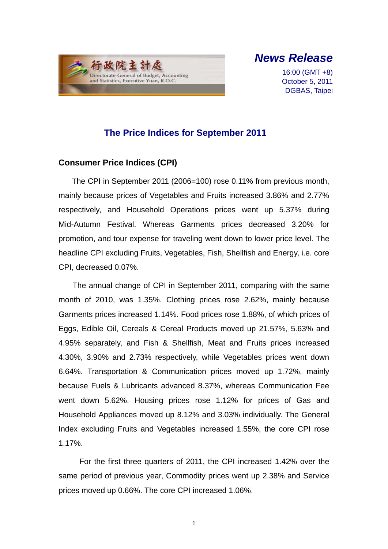

# *News Release*

16:00 (GMT +8) October 5, 2011 DGBAS, Taipei

## **The Price Indices for September 2011**

### **Consumer Price Indices (CPI)**

The CPI in September 2011 (2006=100) rose 0.11% from previous month, mainly because prices of Vegetables and Fruits increased 3.86% and 2.77% respectively, and Household Operations prices went up 5.37% during Mid-Autumn Festival. Whereas Garments prices decreased 3.20% for promotion, and tour expense for traveling went down to lower price level. The headline CPI excluding Fruits, Vegetables, Fish, Shellfish and Energy, i.e. core CPI, decreased 0.07%.

The annual change of CPI in September 2011, comparing with the same month of 2010, was 1.35%. Clothing prices rose 2.62%, mainly because Garments prices increased 1.14%. Food prices rose 1.88%, of which prices of Eggs, Edible Oil, Cereals & Cereal Products moved up 21.57%, 5.63% and 4.95% separately, and Fish & Shellfish, Meat and Fruits prices increased 4.30%, 3.90% and 2.73% respectively, while Vegetables prices went down 6.64%. Transportation & Communication prices moved up 1.72%, mainly because Fuels & Lubricants advanced 8.37%, whereas Communication Fee went down 5.62%. Housing prices rose 1.12% for prices of Gas and Household Appliances moved up 8.12% and 3.03% individually. The General Index excluding Fruits and Vegetables increased 1.55%, the core CPI rose 1.17%.

For the first three quarters of 2011, the CPI increased 1.42% over the same period of previous year, Commodity prices went up 2.38% and Service prices moved up 0.66%. The core CPI increased 1.06%.

1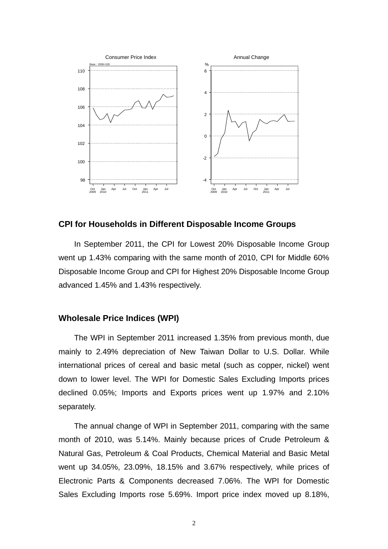

#### **CPI for Households in Different Disposable Income Groups**

In September 2011, the CPI for Lowest 20% Disposable Income Group went up 1.43% comparing with the same month of 2010, CPI for Middle 60% Disposable Income Group and CPI for Highest 20% Disposable Income Group advanced 1.45% and 1.43% respectively.

#### **Wholesale Price Indices (WPI)**

The WPI in September 2011 increased 1.35% from previous month, due mainly to 2.49% depreciation of New Taiwan Dollar to U.S. Dollar. While international prices of cereal and basic metal (such as copper, nickel) went down to lower level. The WPI for Domestic Sales Excluding Imports prices declined 0.05%; Imports and Exports prices went up 1.97% and 2.10% separately.

The annual change of WPI in September 2011, comparing with the same month of 2010, was 5.14%. Mainly because prices of Crude Petroleum & Natural Gas, Petroleum & Coal Products, Chemical Material and Basic Metal went up 34.05%, 23.09%, 18.15% and 3.67% respectively, while prices of Electronic Parts & Components decreased 7.06%. The WPI for Domestic Sales Excluding Imports rose 5.69%. Import price index moved up 8.18%,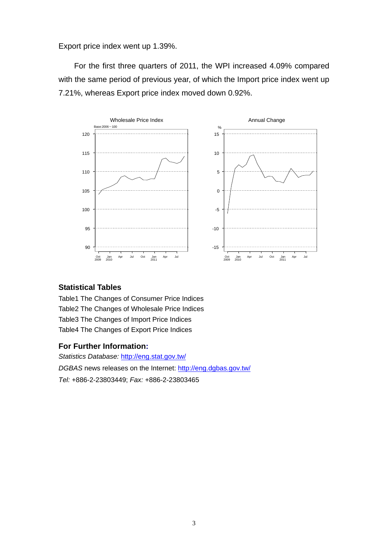Export price index went up 1.39%.

For the first three quarters of 2011, the WPI increased 4.09% compared with the same period of previous year, of which the Import price index went up 7.21%, whereas Export price index moved down 0.92%.



### **Statistical Tables**

Table1 The Changes of Consumer Price Indices Table2 The Changes of Wholesale Price Indices Table3 The Changes of Import Price Indices Table4 The Changes of Export Price Indices

#### **For Further Information:**

*Statistics Database:* http://eng.stat.gov.tw/ *DGBAS* news releases on the Internet: http://eng.dgbas.gov.tw/ *Tel:* +886-2-23803449; *Fax:* +886-2-23803465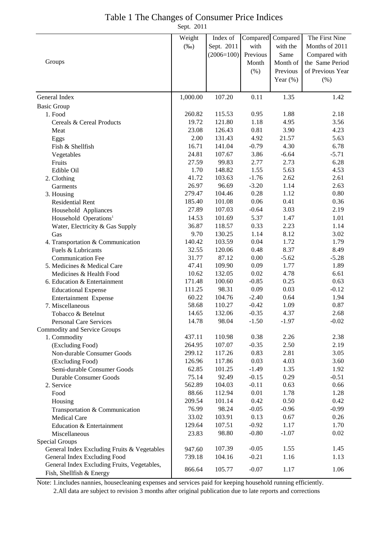## Table 1 The Changes of Consumer Price Indices

Sept. 2011

|                                             | Weight          | Index of        |                    | Compared Compared | The First Nine   |
|---------------------------------------------|-----------------|-----------------|--------------------|-------------------|------------------|
|                                             | $(\%0)$         | Sept. 2011      | with               | with the          | Months of 2011   |
|                                             |                 | $(2006=100)$    | Previous           | Same              | Compared with    |
| Groups                                      |                 |                 | Month              | Month of          | the Same Period  |
|                                             |                 |                 | $(\% )$            | Previous          | of Previous Year |
|                                             |                 |                 |                    | Year $(\%)$       | (% )             |
|                                             |                 |                 |                    |                   |                  |
| General Index                               | 1,000.00        | 107.20          | 0.11               | 1.35              | 1.42             |
| <b>Basic Group</b>                          |                 |                 |                    |                   |                  |
| 1. Food                                     | 260.82          | 115.53          | 0.95               | 1.88              | 2.18             |
| Cereals & Cereal Products                   | 19.72           | 121.80          | 1.18               | 4.95              | 3.56             |
| Meat                                        | 23.08           | 126.43          | 0.81               | 3.90              | 4.23             |
| Eggs                                        | 2.00            | 131.43          | 4.92               | 21.57             | 5.63             |
| Fish & Shellfish                            | 16.71           | 141.04          | $-0.79$            | 4.30              | 6.78             |
| Vegetables                                  | 24.81           | 107.67          | 3.86               | $-6.64$           | $-5.71$          |
| Fruits                                      | 27.59           | 99.83           | 2.77               | 2.73              | 6.28             |
| Edible Oil                                  | 1.70            | 148.82          | 1.55               | 5.63              | 4.53             |
| 2. Clothing                                 | 41.72           | 103.63          | $-1.76$            | 2.62              | 2.61             |
| Garments                                    | 26.97           | 96.69           | $-3.20$            | 1.14              | 2.63             |
| 3. Housing                                  | 279.47          | 104.46          | 0.28               | 1.12              | 0.80             |
| <b>Residential Rent</b>                     | 185.40          | 101.08          | 0.06               | 0.41              | 0.36             |
| Household Appliances                        | 27.89           | 107.03          | $-0.64$            | 3.03              | 2.19             |
| Household Operations <sup>1</sup>           | 14.53           | 101.69          | 5.37               | 1.47              | 1.01             |
| Water, Electricity & Gas Supply             | 36.87           | 118.57          | 0.33               | 2.23              | 1.14             |
| Gas                                         | 9.70            | 130.25          | 1.14               | 8.12              | 3.02             |
| 4. Transportation & Communication           | 140.42          | 103.59          | 0.04               | 1.72              | 1.79             |
| Fuels & Lubricants                          | 32.55           | 120.06          | 0.48               | 8.37              | 8.49             |
| <b>Communication Fee</b>                    | 31.77           | 87.12           | 0.00               | $-5.62$           | $-5.28$          |
| 5. Medicines & Medical Care                 | 47.41           | 109.90          | 0.09               | 1.77              | 1.89             |
| Medicines & Health Food                     | 10.62           | 132.05          | 0.02               | 4.78              | 6.61             |
| 6. Education & Entertainment                | 171.48          | 100.60          | $-0.85$            | 0.25              | 0.63             |
| <b>Educational Expense</b>                  | 111.25          | 98.31           | 0.09               | 0.03              | $-0.12$          |
| Entertainment Expense                       | 60.22           | 104.76          | $-2.40$            | 0.64              | 1.94             |
| 7. Miscellaneous                            | 58.68           | 110.27          | $-0.42$            | 1.09              | 0.87             |
| Tobacco & Betelnut                          | 14.65           | 132.06          | $-0.35$            | 4.37              | 2.68             |
| Personal Care Services                      | 14.78           | 98.04           | $-1.50$            | $-1.97$           | $-0.02$          |
| Commodity and Service Groups                |                 |                 |                    |                   |                  |
| 1. Commodity                                | 437.11          | 110.98          | 0.38               | 2.26              | 2.38             |
| (Excluding Food)                            | 264.95          | 107.07          | $-0.35$            | 2.50              | 2.19             |
| Non-durable Consumer Goods                  | 299.12          | 117.26          | 0.83               | 2.81              | 3.05             |
| (Excluding Food)                            | 126.96          | 117.86          | 0.03               | 4.03              | 3.60             |
| Semi-durable Consumer Goods                 | 62.85           | 101.25          | $-1.49$            | 1.35              | 1.92             |
| <b>Durable Consumer Goods</b>               | 75.14<br>562.89 | 92.49<br>104.03 | $-0.15$<br>$-0.11$ | 0.29<br>0.63      | $-0.51$<br>0.66  |
| 2. Service                                  | 88.66           | 112.94          | $0.01\,$           | 1.78              | 1.28             |
| Food                                        | 209.54          | 101.14          | 0.42               | 0.50              | 0.42             |
| Housing                                     | 76.99           | 98.24           | $-0.05$            | $-0.96$           | $-0.99$          |
| Transportation & Communication              | 33.02           | 103.91          | 0.13               | 0.67              | 0.26             |
| Medical Care                                | 129.64          | 107.51          | $-0.92$            | 1.17              | 1.70             |
| Education & Entertainment                   |                 | 98.80           | $-0.80$            | $-1.07$           | 0.02             |
| Miscellaneous<br>Special Groups             | 23.83           |                 |                    |                   |                  |
| General Index Excluding Fruits & Vegetables | 947.60          | 107.39          | $-0.05$            | 1.55              | 1.45             |
| General Index Excluding Food                | 739.18          | 104.16          | $-0.21$            | 1.16              | 1.13             |
| General Index Excluding Fruits, Vegetables, |                 |                 |                    |                   |                  |
| Fish, Shellfish & Energy                    | 866.64          | 105.77          | $-0.07$            | 1.17              | 1.06             |

Note: 1.includes nannies, housecleaning expenses and services paid for keeping household running efficiently.

2.All data are subject to revision 3 months after original publication due to late reports and corrections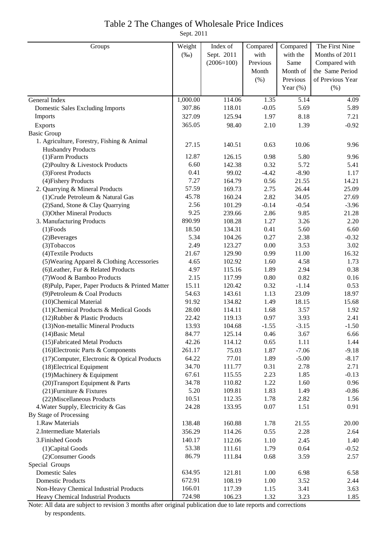### Table 2 The Changes of Wholesale Price Indices

Sept. 2011

| Groups                                                                    | Weight   | Index of     | Compared | Compared     | The First Nine   |
|---------------------------------------------------------------------------|----------|--------------|----------|--------------|------------------|
|                                                                           | $(\%0)$  | Sept. 2011   | with     | with the     | Months of 2011   |
|                                                                           |          | $(2006=100)$ | Previous | Same         | Compared with    |
|                                                                           |          |              | Month    | Month of     | the Same Period  |
|                                                                           |          |              | (% )     | Previous     | of Previous Year |
|                                                                           |          |              |          | Year $(\%)$  | (% )             |
| General Index                                                             | 1,000.00 | 114.06       | 1.35     | 5.14         | 4.09             |
|                                                                           | 307.86   | 118.01       | $-0.05$  | 5.69         | 5.89             |
| <b>Domestic Sales Excluding Imports</b>                                   | 327.09   |              | 1.97     | 8.18         |                  |
| Imports                                                                   |          | 125.94       |          |              | 7.21             |
| Exports                                                                   | 365.05   | 98.40        | 2.10     | 1.39         | $-0.92$          |
| <b>Basic Group</b>                                                        |          |              |          |              |                  |
| 1. Agriculture, Forestry, Fishing & Animal                                | 27.15    | 140.51       | 0.63     | 10.06        | 9.96             |
| <b>Husbandry Products</b><br>(1) Farm Products                            | 12.87    | 126.15       | 0.98     | 5.80         | 9.96             |
| (2) Poultry & Livestock Products                                          | 6.60     | 142.38       | 0.32     | 5.72         | 5.41             |
| (3) Forest Products                                                       | 0.41     | 99.02        | $-4.42$  | $-8.90$      | 1.17             |
| (4) Fishery Products                                                      | 7.27     | 164.79       | 0.56     | 21.55        | 14.21            |
| 2. Quarrying & Mineral Products                                           | 57.59    | 169.73       | 2.75     | 26.44        | 25.09            |
| (1) Crude Petroleum & Natural Gas                                         | 45.78    | 160.24       | 2.82     | 34.05        | 27.69            |
| (2) Sand, Stone & Clay Quarrying                                          | 2.56     | 101.29       | $-0.14$  | $-0.54$      | $-3.96$          |
| (3) Other Mineral Products                                                | 9.25     | 239.66       | 2.86     | 9.85         | 21.28            |
| 3. Manufacturing Products                                                 | 890.99   | 108.28       | 1.27     | 3.26         | 2.20             |
| $(1)$ Foods                                                               | 18.50    | 134.31       | 0.41     | 5.60         | 6.60             |
| (2) Beverages                                                             | 5.34     | 104.26       | 0.27     | 2.38         | $-0.32$          |
| (3) Tobaccos                                                              | 2.49     | 123.27       | 0.00     | 3.53         | 3.02             |
| (4) Textile Products                                                      | 21.67    | 129.90       | 0.99     | 11.00        | 16.32            |
| (5) Wearing Apparel & Clothing Accessories                                | 4.65     | 102.92       | 1.60     | 4.58         | 1.73             |
| (6) Leather, Fur & Related Products                                       | 4.97     | 115.16       | 1.89     | 2.94         | 0.38             |
| (7) Wood & Bamboo Products                                                | 2.15     | 117.99       | 0.80     | 0.82         | 0.16             |
| (8) Pulp, Paper, Paper Products & Printed Matter                          | 15.11    | 120.42       | 0.32     | $-1.14$      | 0.53             |
| (9) Petroleum & Coal Products                                             | 54.63    | 143.61       | 1.13     | 23.09        | 18.97            |
| (10)Chemical Material                                                     | 91.92    | 134.82       | 1.49     | 18.15        | 15.68            |
| (11) Chemical Products & Medical Goods                                    | 28.00    | 114.11       | 1.68     | 3.57         | 1.92             |
| (12) Rubber & Plastic Products                                            | 22.42    | 119.13       | 0.97     | 3.93         | 2.41             |
| (13) Non-metallic Mineral Products                                        | 13.93    | 104.68       | $-1.55$  | $-3.15$      | $-1.50$          |
| $(14)$ Basic Metal                                                        | 84.77    | 125.14       | 0.46     | 3.67         | 6.66             |
| (15) Fabricated Metal Products                                            | 42.26    | 114.12       | 0.65     | 1.11         | 1.44             |
| (16) Electronic Parts & Components                                        | 261.17   | 75.03        | 1.87     | $-7.06$      | $-9.18$          |
|                                                                           | 64.22    | 77.01        | 1.89     | $-5.00$      | $-8.17$          |
| (17) Computer, Electronic & Optical Products<br>(18) Electrical Equipment | 34.70    | 111.77       | 0.31     | 2.78         | 2.71             |
| $(19)$ Machinery & Equipment                                              | 67.61    | 115.55       | 2.23     | 1.85         | $-0.13$          |
|                                                                           | 34.78    | 110.82       | 1.22     | 1.60         | 0.96             |
| (20) Transport Equipment & Parts                                          | 5.20     | 109.81       | 1.83     | 1.49         | $-0.86$          |
| (21) Furniture & Fixtures                                                 | 10.51    | 112.35       | 1.78     | 2.82         | 1.56             |
| (22) Miscellaneous Products<br>4. Water Supply, Electricity & Gas         | 24.28    | 133.95       | 0.07     | 1.51         | 0.91             |
| By Stage of Processing                                                    |          |              |          |              |                  |
| 1.Raw Materials                                                           | 138.48   |              |          |              |                  |
|                                                                           |          | 160.88       | 1.78     | 21.55        | 20.00            |
| 2. Intermediate Materials                                                 | 356.29   | 114.26       | 0.55     | 2.28         | 2.64             |
| 3. Finished Goods                                                         | 140.17   | 112.06       | 1.10     | 2.45         | 1.40             |
| (1) Capital Goods                                                         | 53.38    | 111.61       | 1.79     | 0.64         | $-0.52$          |
| (2) Consumer Goods                                                        | 86.79    | 111.84       | 0.68     | 3.59         | 2.57             |
| Special Groups                                                            |          |              |          |              |                  |
| <b>Domestic Sales</b>                                                     | 634.95   | 121.81       | 1.00     | 6.98         | 6.58             |
| <b>Domestic Products</b>                                                  | 672.91   | 108.19       | 1.00     | 3.52         | 2.44             |
| Non-Heavy Chemical Industrial Products                                    | 166.01   | 117.39       | 1.15     | 3.41<br>3.23 | 3.63             |
| Heavy Chemical Industrial Products                                        | 724.98   | 106.23       | 1.32     |              | 1.85             |

Note: All data are subject to revision 3 months after original publication due to late reports and corrections by respondents.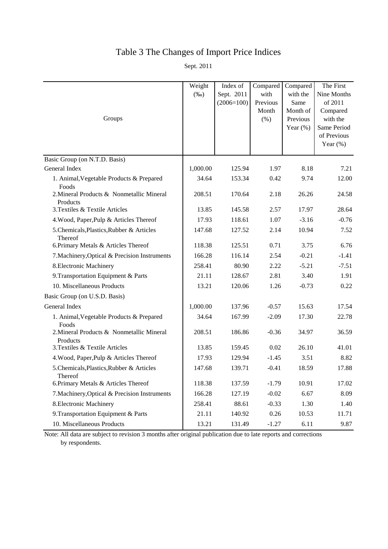# Table 3 The Changes of Import Price Indices

Sept. 2011

| Groups                                                | Weight<br>$(\%0)$ | Index of<br>Sept. 2011<br>$(2006=100)$ | Compared<br>with<br>Previous<br>Month<br>(% ) | Compared<br>with the<br>Same<br>Month of<br>Previous<br>Year $(\%)$ | The First<br>Nine Months<br>of 2011<br>Compared<br>with the<br>Same Period<br>of Previous |
|-------------------------------------------------------|-------------------|----------------------------------------|-----------------------------------------------|---------------------------------------------------------------------|-------------------------------------------------------------------------------------------|
|                                                       |                   |                                        |                                               |                                                                     | Year $(\%)$                                                                               |
| Basic Group (on N.T.D. Basis)                         |                   |                                        |                                               |                                                                     |                                                                                           |
| General Index                                         | 1,000.00          | 125.94                                 | 1.97                                          | 8.18                                                                | 7.21                                                                                      |
| 1. Animal, Vegetable Products & Prepared<br>Foods     | 34.64             | 153.34                                 | 0.42                                          | 9.74                                                                | 12.00                                                                                     |
| 2. Mineral Products & Nonmetallic Mineral<br>Products | 208.51            | 170.64                                 | 2.18                                          | 26.26                                                               | 24.58                                                                                     |
| 3. Textiles & Textile Articles                        | 13.85             | 145.58                                 | 2.57                                          | 17.97                                                               | 28.64                                                                                     |
| 4. Wood, Paper, Pulp & Articles Thereof               | 17.93             | 118.61                                 | 1.07                                          | $-3.16$                                                             | $-0.76$                                                                                   |
| 5. Chemicals, Plastics, Rubber & Articles<br>Thereof  | 147.68            | 127.52                                 | 2.14                                          | 10.94                                                               | 7.52                                                                                      |
| 6. Primary Metals & Articles Thereof                  | 118.38            | 125.51                                 | 0.71                                          | 3.75                                                                | 6.76                                                                                      |
| 7. Machinery, Optical & Precision Instruments         | 166.28            | 116.14                                 | 2.54                                          | $-0.21$                                                             | $-1.41$                                                                                   |
| 8. Electronic Machinery                               | 258.41            | 80.90                                  | 2.22                                          | $-5.21$                                                             | $-7.51$                                                                                   |
| 9. Transportation Equipment & Parts                   | 21.11             | 128.67                                 | 2.81                                          | 3.40                                                                | 1.91                                                                                      |
| 10. Miscellaneous Products                            | 13.21             | 120.06                                 | 1.26                                          | $-0.73$                                                             | 0.22                                                                                      |
| Basic Group (on U.S.D. Basis)                         |                   |                                        |                                               |                                                                     |                                                                                           |
| General Index                                         | 1,000.00          | 137.96                                 | $-0.57$                                       | 15.63                                                               | 17.54                                                                                     |
| 1. Animal, Vegetable Products & Prepared<br>Foods     | 34.64             | 167.99                                 | $-2.09$                                       | 17.30                                                               | 22.78                                                                                     |
| 2. Mineral Products & Nonmetallic Mineral<br>Products | 208.51            | 186.86                                 | $-0.36$                                       | 34.97                                                               | 36.59                                                                                     |
| 3. Textiles & Textile Articles                        | 13.85             | 159.45                                 | 0.02                                          | 26.10                                                               | 41.01                                                                                     |
| 4. Wood, Paper, Pulp & Articles Thereof               | 17.93             | 129.94                                 | $-1.45$                                       | 3.51                                                                | 8.82                                                                                      |
| 5. Chemicals, Plastics, Rubber & Articles<br>Thereof  | 147.68            | 139.71                                 | $-0.41$                                       | 18.59                                                               | 17.88                                                                                     |
| 6. Primary Metals & Articles Thereof                  | 118.38            | 137.59                                 | $-1.79$                                       | 10.91                                                               | 17.02                                                                                     |
| 7. Machinery, Optical & Precision Instruments         | 166.28            | 127.19                                 | $-0.02$                                       | 6.67                                                                | 8.09                                                                                      |
| 8. Electronic Machinery                               | 258.41            | 88.61                                  | $-0.33$                                       | 1.30                                                                | 1.40                                                                                      |
| 9. Transportation Equipment & Parts                   | 21.11             | 140.92                                 | 0.26                                          | 10.53                                                               | 11.71                                                                                     |
| 10. Miscellaneous Products                            | 13.21             | 131.49                                 | $-1.27$                                       | 6.11                                                                | 9.87                                                                                      |

Note: All data are subject to revision 3 months after original publication due to late reports and corrections by respondents.